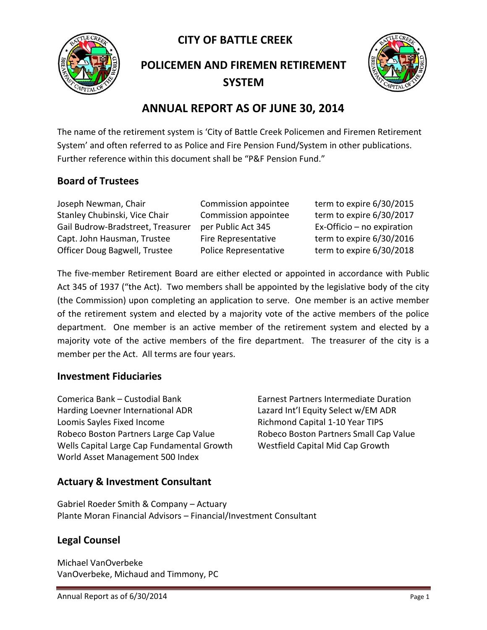**CITY OF BATTLE CREEK** 



**POLICEMEN AND FIREMEN RETIREMENT SYSTEM**



## **ANNUAL REPORT AS OF JUNE 30, 2014**

The name of the retirement system is 'City of Battle Creek Policemen and Firemen Retirement System' and often referred to as Police and Fire Pension Fund/System in other publications. Further reference within this document shall be "P&F Pension Fund."

### **Board of Trustees**

Joseph Newman, Chair Commission appointee term to expire 6/30/2015 Stanley Chubinski, Vice Chair Commission appointee term to expire 6/30/2017 Gail Budrow-Bradstreet, Treasurer per Public Act 345 Ex-Officio – no expiration Capt. John Hausman, Trustee Fire Representative term to expire 6/30/2016 Officer Doug Bagwell, Trustee Police Representative term to expire 6/30/2018

The five-member Retirement Board are either elected or appointed in accordance with Public Act 345 of 1937 ("the Act). Two members shall be appointed by the legislative body of the city (the Commission) upon completing an application to serve. One member is an active member of the retirement system and elected by a majority vote of the active members of the police department. One member is an active member of the retirement system and elected by a majority vote of the active members of the fire department. The treasurer of the city is a member per the Act. All terms are four years.

#### **Investment Fiduciaries**

Comerica Bank – Custodial Bank Earnest Partners Intermediate Duration Harding Loevner International ADR Lazard Int'l Equity Select w/EM ADR Loomis Sayles Fixed Income The Richmond Capital 1-10 Year TIPS Robeco Boston Partners Large Cap Value Robeco Boston Partners Small Cap Value Wells Capital Large Cap Fundamental Growth Westfield Capital Mid Cap Growth World Asset Management 500 Index

### **Actuary & Investment Consultant**

Gabriel Roeder Smith & Company – Actuary Plante Moran Financial Advisors – Financial/Investment Consultant

### **Legal Counsel**

Michael VanOverbeke VanOverbeke, Michaud and Timmony, PC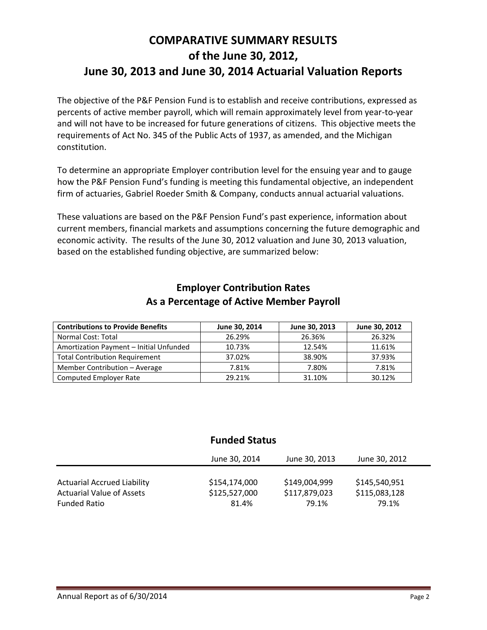# **COMPARATIVE SUMMARY RESULTS of the June 30, 2012, June 30, 2013 and June 30, 2014 Actuarial Valuation Reports**

The objective of the P&F Pension Fund is to establish and receive contributions, expressed as percents of active member payroll, which will remain approximately level from year-to-year and will not have to be increased for future generations of citizens. This objective meets the requirements of Act No. 345 of the Public Acts of 1937, as amended, and the Michigan constitution.

To determine an appropriate Employer contribution level for the ensuing year and to gauge how the P&F Pension Fund's funding is meeting this fundamental objective, an independent firm of actuaries, Gabriel Roeder Smith & Company, conducts annual actuarial valuations.

These valuations are based on the P&F Pension Fund's past experience, information about current members, financial markets and assumptions concerning the future demographic and economic activity. The results of the June 30, 2012 valuation and June 30, 2013 valuation, based on the established funding objective, are summarized below:

| <b>Contributions to Provide Benefits</b> | June 30, 2014 | June 30, 2013 | June 30, 2012 |
|------------------------------------------|---------------|---------------|---------------|
| Normal Cost: Total                       | 26.29%        | 26.36%        | 26.32%        |
| Amortization Payment - Initial Unfunded  | 10.73%        | 12.54%        | 11.61%        |
| <b>Total Contribution Requirement</b>    | 37.02%        | 38.90%        | 37.93%        |
| Member Contribution - Average            | 7.81%         | 7.80%         | 7.81%         |
| <b>Computed Employer Rate</b>            | 29.21%        | 31.10%        | 30.12%        |

#### **Employer Contribution Rates As a Percentage of Active Member Payroll**

### **Funded Status**

|                                    | June 30, 2014 | June 30, 2013 | June 30, 2012 |
|------------------------------------|---------------|---------------|---------------|
| <b>Actuarial Accrued Liability</b> | \$154,174,000 | \$149,004,999 | \$145,540,951 |
| <b>Actuarial Value of Assets</b>   | \$125,527,000 | \$117,879,023 | \$115,083,128 |
| <b>Funded Ratio</b>                | 81.4%         | 79.1%         | 79.1%         |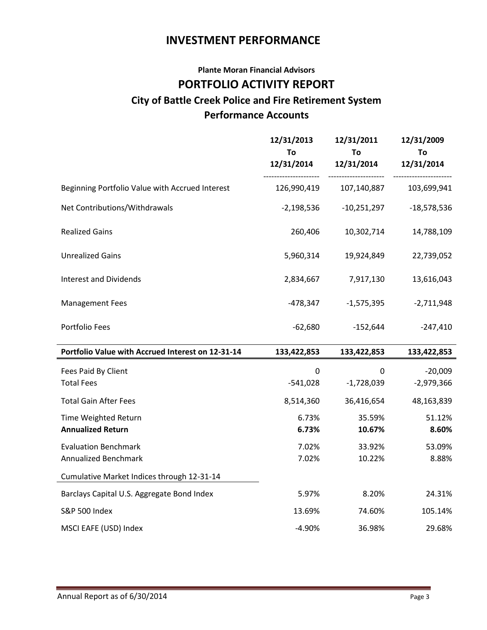## **INVESTMENT PERFORMANCE**

## **Plante Moran Financial Advisors PORTFOLIO ACTIVITY REPORT City of Battle Creek Police and Fire Retirement System Performance Accounts**

|                                                   | 12/31/2013<br>To<br>12/31/2014 | 12/31/2011<br>To<br>12/31/2014 | 12/31/2009<br>To<br>12/31/2014 |
|---------------------------------------------------|--------------------------------|--------------------------------|--------------------------------|
| Beginning Portfolio Value with Accrued Interest   | 126,990,419                    | 107,140,887                    | 103,699,941                    |
| Net Contributions/Withdrawals                     | $-2,198,536$                   | $-10,251,297$                  | $-18,578,536$                  |
| <b>Realized Gains</b>                             | 260,406                        | 10,302,714                     | 14,788,109                     |
| <b>Unrealized Gains</b>                           | 5,960,314                      | 19,924,849                     | 22,739,052                     |
| <b>Interest and Dividends</b>                     | 2,834,667                      | 7,917,130                      | 13,616,043                     |
| <b>Management Fees</b>                            | $-478,347$                     | $-1,575,395$                   | $-2,711,948$                   |
| Portfolio Fees                                    | $-62,680$                      | $-152,644$                     | $-247,410$                     |
| Portfolio Value with Accrued Interest on 12-31-14 | 133,422,853                    | 133,422,853                    | 133,422,853                    |
| Fees Paid By Client                               | $\mathbf 0$                    | 0                              | $-20,009$                      |
| <b>Total Fees</b>                                 | $-541,028$                     | $-1,728,039$                   | $-2,979,366$                   |
| <b>Total Gain After Fees</b>                      | 8,514,360                      | 36,416,654                     | 48,163,839                     |
| Time Weighted Return                              | 6.73%                          | 35.59%                         | 51.12%                         |
| <b>Annualized Return</b>                          | 6.73%                          | 10.67%                         | 8.60%                          |
| <b>Evaluation Benchmark</b>                       | 7.02%                          | 33.92%                         | 53.09%                         |
| <b>Annualized Benchmark</b>                       | 7.02%                          | 10.22%                         | 8.88%                          |
| Cumulative Market Indices through 12-31-14        |                                |                                |                                |
| Barclays Capital U.S. Aggregate Bond Index        | 5.97%                          | 8.20%                          | 24.31%                         |
| <b>S&amp;P 500 Index</b>                          | 13.69%                         | 74.60%                         | 105.14%                        |
| MSCI EAFE (USD) Index                             | $-4.90%$                       | 36.98%                         | 29.68%                         |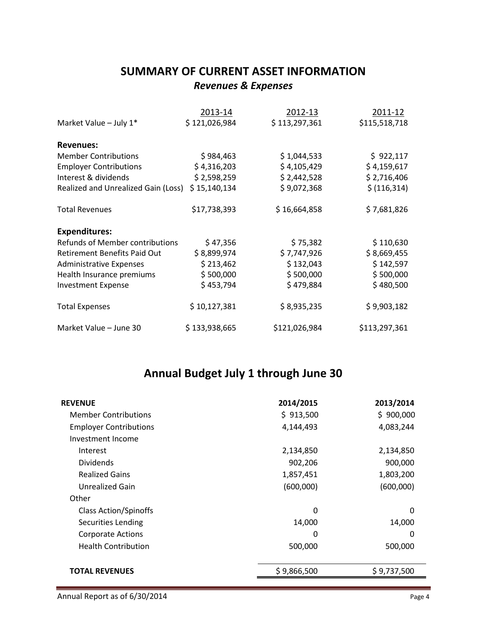## **SUMMARY OF CURRENT ASSET INFORMATION** *Revenues & Expenses*

|                                     | 2013-14       | 2012-13       | 2011-12       |
|-------------------------------------|---------------|---------------|---------------|
| Market Value - July 1*              | \$121,026,984 | \$113,297,361 | \$115,518,718 |
| <b>Revenues:</b>                    |               |               |               |
| <b>Member Contributions</b>         | \$984,463     | \$1,044,533   | \$922,117     |
| <b>Employer Contributions</b>       | \$4,316,203   | \$4,105,429   | \$4,159,617   |
| Interest & dividends                | \$2,598,259   | \$2,442,528   | \$2,716,406   |
| Realized and Unrealized Gain (Loss) | \$15,140,134  | \$9,072,368   | \$ (116, 314) |
| <b>Total Revenues</b>               | \$17,738,393  | \$16,664,858  | \$7,681,826   |
| <b>Expenditures:</b>                |               |               |               |
| Refunds of Member contributions     | \$47,356      | \$75,382      | \$110,630     |
| Retirement Benefits Paid Out        | \$8,899,974   | \$7,747,926   | \$8,669,455   |
| <b>Administrative Expenses</b>      | \$213,462     | \$132,043     | \$142,597     |
| Health Insurance premiums           | \$500,000     | \$500,000     | \$500,000     |
| <b>Investment Expense</b>           | \$453,794     | \$479,884     | \$480,500     |
| <b>Total Expenses</b>               | \$10,127,381  | \$8,935,235   | \$9,903,182   |
| Market Value - June 30              | \$133,938,665 | \$121,026,984 | \$113,297,361 |

# **Annual Budget July 1 through June 30**

| <b>REVENUE</b>                | 2014/2015   | 2013/2014   |
|-------------------------------|-------------|-------------|
| <b>Member Contributions</b>   | \$913,500   | \$900,000   |
| <b>Employer Contributions</b> | 4,144,493   | 4,083,244   |
| Investment Income             |             |             |
| Interest                      | 2,134,850   | 2,134,850   |
| <b>Dividends</b>              | 902,206     | 900,000     |
| <b>Realized Gains</b>         | 1,857,451   | 1,803,200   |
| <b>Unrealized Gain</b>        | (600,000)   | (600,000)   |
| Other                         |             |             |
| <b>Class Action/Spinoffs</b>  | $\Omega$    | $\Omega$    |
| Securities Lending            | 14,000      | 14,000      |
| <b>Corporate Actions</b>      | 0           | 0           |
| <b>Health Contribution</b>    | 500,000     | 500,000     |
|                               |             |             |
| <b>TOTAL REVENUES</b>         | \$9,866,500 | \$9,737,500 |
|                               |             |             |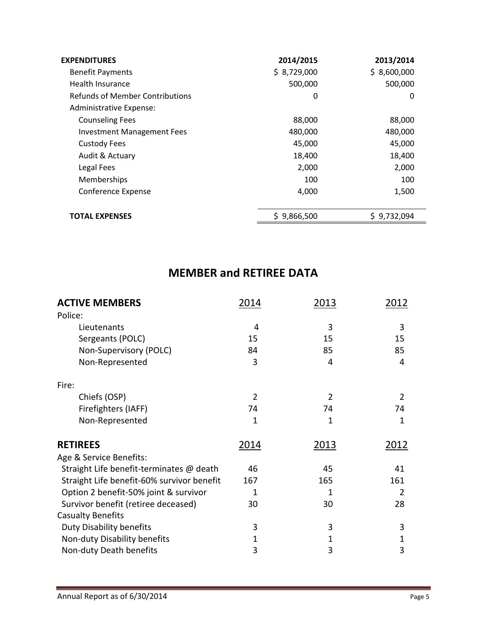| <b>EXPENDITURES</b>               | 2014/2015   | 2013/2014   |
|-----------------------------------|-------------|-------------|
| <b>Benefit Payments</b>           | \$8,729,000 | \$8,600,000 |
| Health Insurance                  | 500,000     | 500,000     |
| Refunds of Member Contributions   | 0           | 0           |
| Administrative Expense:           |             |             |
| <b>Counseling Fees</b>            | 88,000      | 88,000      |
| <b>Investment Management Fees</b> | 480,000     | 480,000     |
| <b>Custody Fees</b>               | 45,000      | 45,000      |
| Audit & Actuary                   | 18,400      | 18,400      |
| Legal Fees                        | 2,000       | 2,000       |
| Memberships                       | 100         | 100         |
| Conference Expense                | 4,000       | 1,500       |
|                                   |             |             |
| <b>TOTAL EXPENSES</b>             | \$9,866,500 | \$9,732,094 |

# **MEMBER and RETIREE DATA**

| <b>ACTIVE MEMBERS</b>                                   | 2014   | 2013   | 2012   |
|---------------------------------------------------------|--------|--------|--------|
| Police:                                                 |        |        |        |
| Lieutenants                                             | 4      | 3      | 3      |
| Sergeants (POLC)                                        | 15     | 15     | 15     |
| Non-Supervisory (POLC)                                  | 84     | 85     | 85     |
| Non-Represented                                         | 3      | 4      | 4      |
| Fire:                                                   |        |        |        |
| Chiefs (OSP)                                            | 2      | 2      | 2      |
| Firefighters (IAFF)                                     | 74     | 74     | 74     |
| Non-Represented                                         | 1      | 1      | 1      |
| <b>RETIREES</b>                                         | 2014   | 2013   | 2012   |
| Age & Service Benefits:                                 |        |        |        |
| Straight Life benefit-terminates @ death                | 46     | 45     | 41     |
| Straight Life benefit-60% survivor benefit              | 167    | 165    | 161    |
| Option 2 benefit-50% joint & survivor                   | 1      | 1      | 2      |
| Survivor benefit (retiree deceased)                     | 30     | 30     | 28     |
| <b>Casualty Benefits</b>                                |        |        |        |
| Duty Disability benefits                                | 3      | 3      | 3      |
|                                                         |        |        |        |
|                                                         |        |        |        |
| Non-duty Disability benefits<br>Non-duty Death benefits | 1<br>3 | 1<br>3 | 1<br>3 |